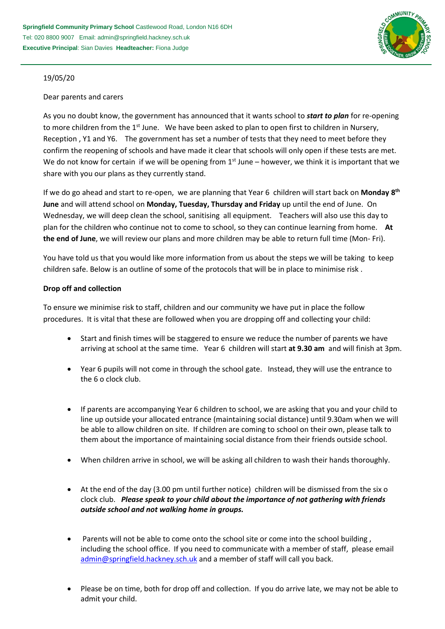

## 19/05/20

### Dear parents and carers

As you no doubt know, the government has announced that it wants school to *start to plan* for re-opening to more children from the 1<sup>st</sup> June. We have been asked to plan to open first to children in Nursery, Reception , Y1 and Y6. The government has set a number of tests that they need to meet before they confirm the reopening of schools and have made it clear that schools will only open if these tests are met. We do not know for certain if we will be opening from  $1<sup>st</sup>$  June – however, we think it is important that we share with you our plans as they currently stand.

If we do go ahead and start to re-open, we are planning that Year 6 children will start back on **Monday 8th June** and will attend school on **Monday, Tuesday, Thursday and Friday** up until the end of June. On Wednesday, we will deep clean the school, sanitising all equipment. Teachers will also use this day to plan for the children who continue not to come to school, so they can continue learning from home. **At the end of June**, we will review our plans and more children may be able to return full time (Mon- Fri).

You have told us that you would like more information from us about the steps we will be taking to keep children safe. Below is an outline of some of the protocols that will be in place to minimise risk .

# **Drop off and collection**

To ensure we minimise risk to staff, children and our community we have put in place the follow procedures. It is vital that these are followed when you are dropping off and collecting your child:

- Start and finish times will be staggered to ensure we reduce the number of parents we have arriving at school at the same time. Year 6 children will start **at 9.30 am** and will finish at 3pm.
- Year 6 pupils will not come in through the school gate. Instead, they will use the entrance to the 6 o clock club.
- If parents are accompanying Year 6 children to school, we are asking that you and your child to line up outside your allocated entrance (maintaining social distance) until 9.30am when we will be able to allow children on site. If children are coming to school on their own, please talk to them about the importance of maintaining social distance from their friends outside school.
- When children arrive in school, we will be asking all children to wash their hands thoroughly.
- At the end of the day (3.00 pm until further notice) children will be dismissed from the six o clock club. *Please speak to your child about the importance of not gathering with friends outside school and not walking home in groups.*
- Parents will not be able to come onto the school site or come into the school building , including the school office. If you need to communicate with a member of staff, please email [admin@springfield.hackney.sch.uk](mailto:admin@springfield.hackney.sch.uk) and a member of staff will call you back.
- Please be on time, both for drop off and collection. If you do arrive late, we may not be able to admit your child.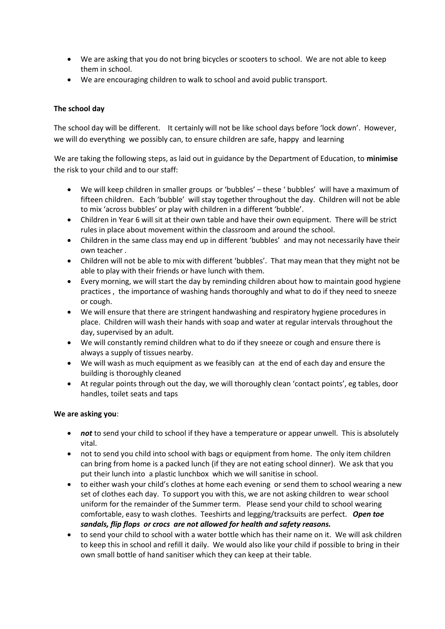- We are asking that you do not bring bicycles or scooters to school. We are not able to keep them in school.
- We are encouraging children to walk to school and avoid public transport.

# **The school day**

The school day will be different. It certainly will not be like school days before 'lock down'. However, we will do everything we possibly can, to ensure children are safe, happy and learning

 We are taking the following steps, as laid out in guidance by the Department of Education, to **minimise** the risk to your child and to our staff:

- We will keep children in smaller groups or 'bubbles' these ' bubbles' will have a maximum of fifteen children. Each 'bubble' will stay together throughout the day. Children will not be able to mix 'across bubbles' or play with children in a different 'bubble'.
- Children in Year 6 will sit at their own table and have their own equipment. There will be strict rules in place about movement within the classroom and around the school.
- Children in the same class may end up in different 'bubbles' and may not necessarily have their own teacher .
- Children will not be able to mix with different 'bubbles'. That may mean that they might not be able to play with their friends or have lunch with them.
- Every morning, we will start the day by reminding children about how to maintain good hygiene practices , the importance of washing hands thoroughly and what to do if they need to sneeze or cough.
- We will ensure that there are stringent handwashing and respiratory hygiene procedures in place. Children will wash their hands with soap and water at regular intervals throughout the day, supervised by an adult.
- We will constantly remind children what to do if they sneeze or cough and ensure there is always a supply of tissues nearby.
- We will wash as much equipment as we feasibly can at the end of each day and ensure the building is thoroughly cleaned
- At regular points through out the day, we will thoroughly clean 'contact points', eg tables, door handles, toilet seats and taps

### **We are asking you**:

- not to send your child to school if they have a temperature or appear unwell. This is absolutely vital.
- not to send you child into school with bags or equipment from home. The only item children can bring from home is a packed lunch (if they are not eating school dinner). We ask that you put their lunch into a plastic lunchbox which we will sanitise in school.
- to either wash your child's clothes at home each evening or send them to school wearing a new set of clothes each day. To support you with this, we are not asking children to wear school uniform for the remainder of the Summer term. Please send your child to school wearing comfortable, easy to wash clothes. Teeshirts and legging/tracksuits are perfect. *Open toe sandals, flip flops or crocs are not allowed for health and safety reasons.*
- to send your child to school with a water bottle which has their name on it. We will ask children to keep this in school and refill it daily. We would also like your child if possible to bring in their own small bottle of hand sanitiser which they can keep at their table.